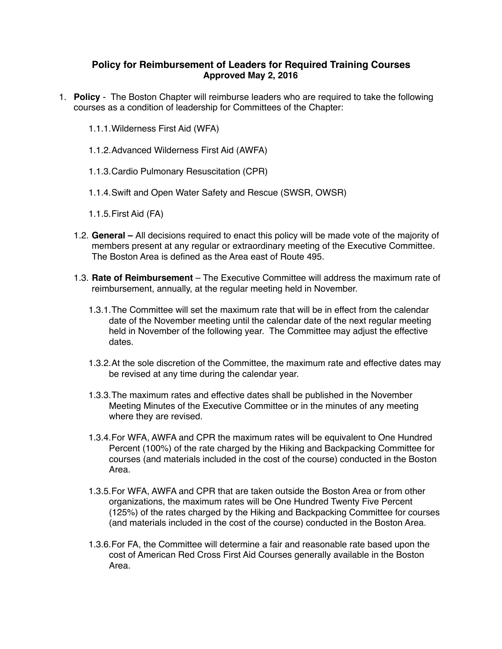## **Policy for Reimbursement of Leaders for Required Training Courses Approved May 2, 2016**

- 1. **Policy** The Boston Chapter will reimburse leaders who are required to take the following courses as a condition of leadership for Committees of the Chapter:
	- 1.1.1.Wilderness First Aid (WFA)
	- 1.1.2.Advanced Wilderness First Aid (AWFA)
	- 1.1.3.Cardio Pulmonary Resuscitation (CPR)
	- 1.1.4.Swift and Open Water Safety and Rescue (SWSR, OWSR)
	- 1.1.5.First Aid (FA)
	- 1.2. **General** All decisions required to enact this policy will be made vote of the majority of members present at any regular or extraordinary meeting of the Executive Committee. The Boston Area is defined as the Area east of Route 495.
	- 1.3. **Rate of Reimbursement** The Executive Committee will address the maximum rate of reimbursement, annually, at the regular meeting held in November.
		- 1.3.1.The Committee will set the maximum rate that will be in effect from the calendar date of the November meeting until the calendar date of the next regular meeting held in November of the following year. The Committee may adjust the effective dates.
		- 1.3.2.At the sole discretion of the Committee, the maximum rate and effective dates may be revised at any time during the calendar year.
		- 1.3.3.The maximum rates and effective dates shall be published in the November Meeting Minutes of the Executive Committee or in the minutes of any meeting where they are revised.
		- 1.3.4.For WFA, AWFA and CPR the maximum rates will be equivalent to One Hundred Percent (100%) of the rate charged by the Hiking and Backpacking Committee for courses (and materials included in the cost of the course) conducted in the Boston Area.
		- 1.3.5.For WFA, AWFA and CPR that are taken outside the Boston Area or from other organizations, the maximum rates will be One Hundred Twenty Five Percent (125%) of the rates charged by the Hiking and Backpacking Committee for courses (and materials included in the cost of the course) conducted in the Boston Area.
		- 1.3.6.For FA, the Committee will determine a fair and reasonable rate based upon the cost of American Red Cross First Aid Courses generally available in the Boston Area.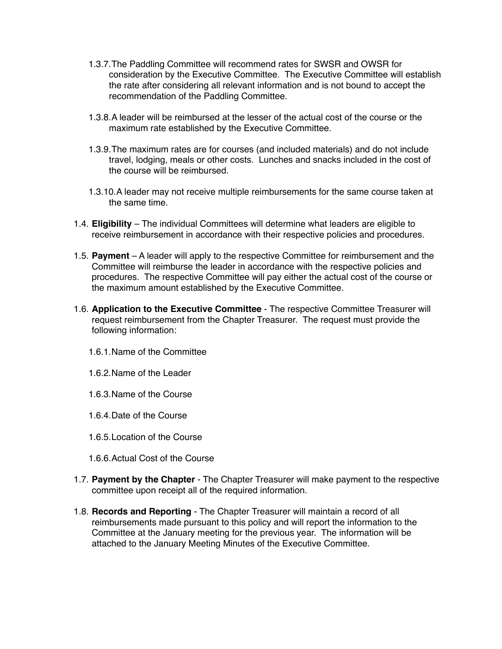- 1.3.7.The Paddling Committee will recommend rates for SWSR and OWSR for consideration by the Executive Committee. The Executive Committee will establish the rate after considering all relevant information and is not bound to accept the recommendation of the Paddling Committee.
- 1.3.8.A leader will be reimbursed at the lesser of the actual cost of the course or the maximum rate established by the Executive Committee.
- 1.3.9.The maximum rates are for courses (and included materials) and do not include travel, lodging, meals or other costs. Lunches and snacks included in the cost of the course will be reimbursed.
- 1.3.10.A leader may not receive multiple reimbursements for the same course taken at the same time.
- 1.4. **Eligibility** The individual Committees will determine what leaders are eligible to receive reimbursement in accordance with their respective policies and procedures.
- 1.5. **Payment** A leader will apply to the respective Committee for reimbursement and the Committee will reimburse the leader in accordance with the respective policies and procedures. The respective Committee will pay either the actual cost of the course or the maximum amount established by the Executive Committee.
- 1.6. **Application to the Executive Committee** The respective Committee Treasurer will request reimbursement from the Chapter Treasurer. The request must provide the following information:
	- 1.6.1.Name of the Committee
	- 1.6.2.Name of the Leader
	- 1.6.3.Name of the Course
	- 1.6.4.Date of the Course
	- 1.6.5.Location of the Course
	- 1.6.6.Actual Cost of the Course
- 1.7. **Payment by the Chapter** The Chapter Treasurer will make payment to the respective committee upon receipt all of the required information.
- 1.8. **Records and Reporting** The Chapter Treasurer will maintain a record of all reimbursements made pursuant to this policy and will report the information to the Committee at the January meeting for the previous year. The information will be attached to the January Meeting Minutes of the Executive Committee.